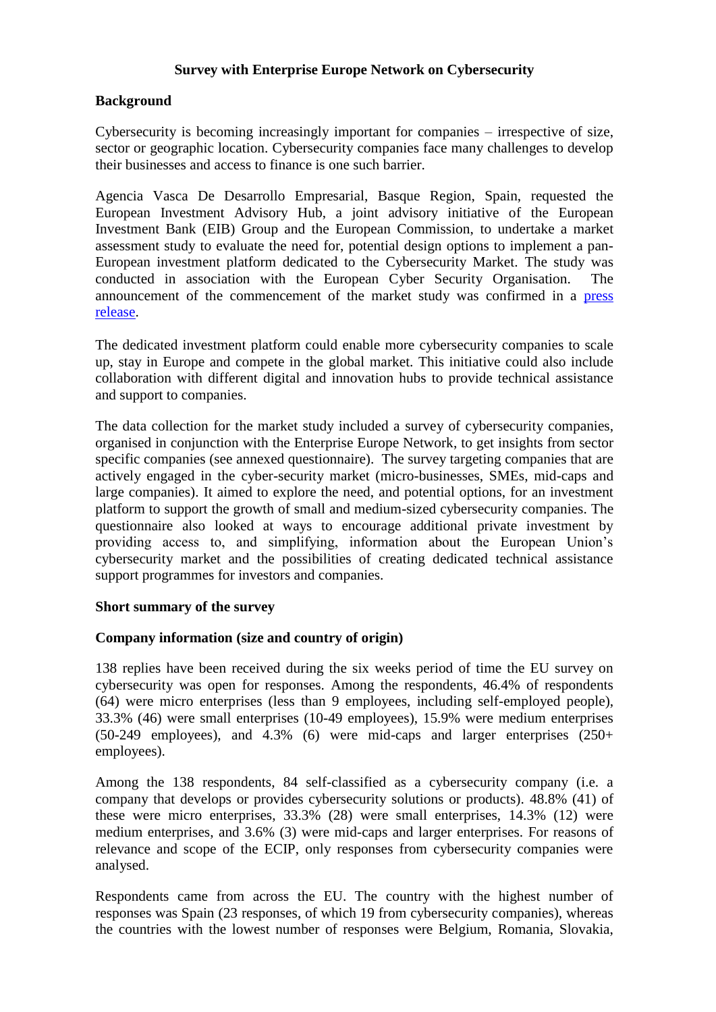# **Survey with Enterprise Europe Network on Cybersecurity**

### **Background**

Cybersecurity is becoming increasingly important for companies – irrespective of size, sector or geographic location. Cybersecurity companies face many challenges to develop their businesses and access to finance is one such barrier.

Agencia Vasca De Desarrollo Empresarial, Basque Region, Spain, requested the European Investment Advisory Hub, a joint advisory initiative of the European Investment Bank (EIB) Group and the European Commission, to undertake a market assessment study to evaluate the need for, potential design options to implement a pan-European investment platform dedicated to the Cybersecurity Market. The study was conducted in association with the European Cyber Security Organisation. The announcement of the commencement of the market study was confirmed in a [press](https://www.eib.org/en/press/all/2021-331-european-investment-advisory-hub-and-european-cyber-security-organisation-announce-first-step-towards-a-new-pan-european-cybersecurity-investment-instrument)  [release.](https://www.eib.org/en/press/all/2021-331-european-investment-advisory-hub-and-european-cyber-security-organisation-announce-first-step-towards-a-new-pan-european-cybersecurity-investment-instrument)

The dedicated investment platform could enable more cybersecurity companies to scale up, stay in Europe and compete in the global market. This initiative could also include collaboration with different digital and innovation hubs to provide technical assistance and support to companies.

The data collection for the market study included a survey of cybersecurity companies, organised in conjunction with the Enterprise Europe Network, to get insights from sector specific companies (see annexed questionnaire). The survey targeting companies that are actively engaged in the cyber-security market (micro-businesses, SMEs, mid-caps and large companies). It aimed to explore the need, and potential options, for an investment platform to support the growth of small and medium-sized cybersecurity companies. The questionnaire also looked at ways to encourage additional private investment by providing access to, and simplifying, information about the European Union's cybersecurity market and the possibilities of creating dedicated technical assistance support programmes for investors and companies.

#### **Short summary of the survey**

#### **Company information (size and country of origin)**

138 replies have been received during the six weeks period of time the EU survey on cybersecurity was open for responses. Among the respondents, 46.4% of respondents (64) were micro enterprises (less than 9 employees, including self-employed people), 33.3% (46) were small enterprises (10-49 employees), 15.9% were medium enterprises (50-249 employees), and 4.3% (6) were mid-caps and larger enterprises (250+ employees).

Among the 138 respondents, 84 self-classified as a cybersecurity company (i.e. a company that develops or provides cybersecurity solutions or products). 48.8% (41) of these were micro enterprises, 33.3% (28) were small enterprises, 14.3% (12) were medium enterprises, and 3.6% (3) were mid-caps and larger enterprises. For reasons of relevance and scope of the ECIP, only responses from cybersecurity companies were analysed.

Respondents came from across the EU. The country with the highest number of responses was Spain (23 responses, of which 19 from cybersecurity companies), whereas the countries with the lowest number of responses were Belgium, Romania, Slovakia,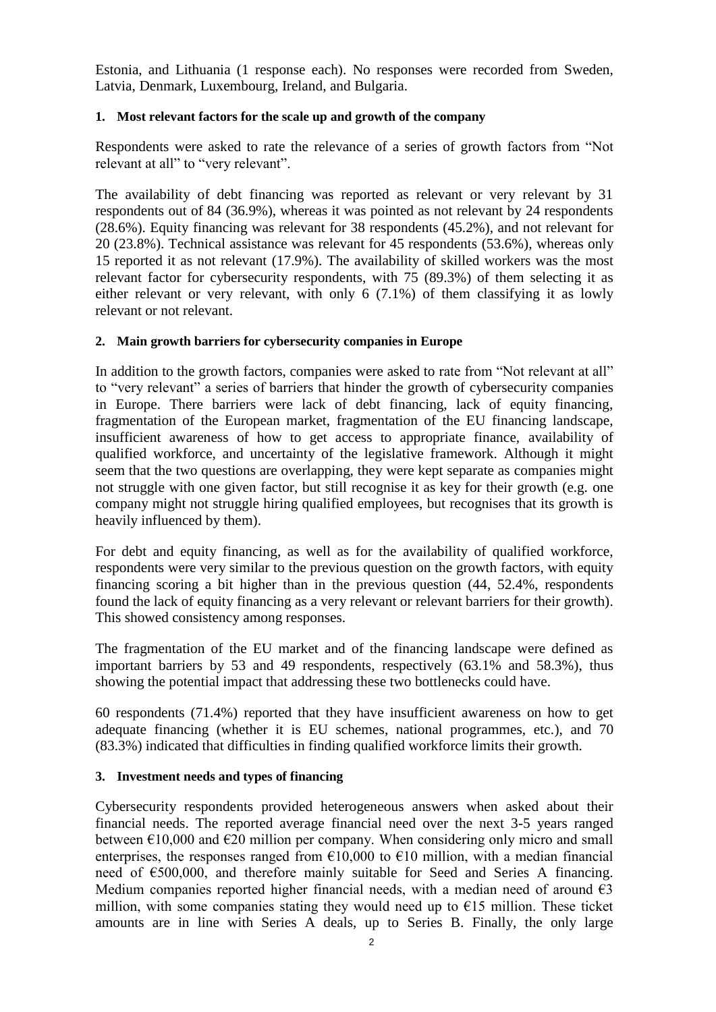Estonia, and Lithuania (1 response each). No responses were recorded from Sweden, Latvia, Denmark, Luxembourg, Ireland, and Bulgaria.

#### **1. Most relevant factors for the scale up and growth of the company**

Respondents were asked to rate the relevance of a series of growth factors from "Not relevant at all" to "very relevant".

The availability of debt financing was reported as relevant or very relevant by 31 respondents out of 84 (36.9%), whereas it was pointed as not relevant by 24 respondents (28.6%). Equity financing was relevant for 38 respondents (45.2%), and not relevant for 20 (23.8%). Technical assistance was relevant for 45 respondents (53.6%), whereas only 15 reported it as not relevant (17.9%). The availability of skilled workers was the most relevant factor for cybersecurity respondents, with 75 (89.3%) of them selecting it as either relevant or very relevant, with only 6 (7.1%) of them classifying it as lowly relevant or not relevant.

### **2. Main growth barriers for cybersecurity companies in Europe**

In addition to the growth factors, companies were asked to rate from "Not relevant at all" to "very relevant" a series of barriers that hinder the growth of cybersecurity companies in Europe. There barriers were lack of debt financing, lack of equity financing, fragmentation of the European market, fragmentation of the EU financing landscape, insufficient awareness of how to get access to appropriate finance, availability of qualified workforce, and uncertainty of the legislative framework. Although it might seem that the two questions are overlapping, they were kept separate as companies might not struggle with one given factor, but still recognise it as key for their growth (e.g. one company might not struggle hiring qualified employees, but recognises that its growth is heavily influenced by them).

For debt and equity financing, as well as for the availability of qualified workforce, respondents were very similar to the previous question on the growth factors, with equity financing scoring a bit higher than in the previous question (44, 52.4%, respondents found the lack of equity financing as a very relevant or relevant barriers for their growth). This showed consistency among responses.

The fragmentation of the EU market and of the financing landscape were defined as important barriers by 53 and 49 respondents, respectively (63.1% and 58.3%), thus showing the potential impact that addressing these two bottlenecks could have.

60 respondents (71.4%) reported that they have insufficient awareness on how to get adequate financing (whether it is EU schemes, national programmes, etc.), and 70 (83.3%) indicated that difficulties in finding qualified workforce limits their growth.

#### **3. Investment needs and types of financing**

Cybersecurity respondents provided heterogeneous answers when asked about their financial needs. The reported average financial need over the next 3-5 years ranged between  $\epsilon$ 10,000 and  $\epsilon$ 20 million per company. When considering only micro and small enterprises, the responses ranged from  $\epsilon$ 10,000 to  $\epsilon$ 10 million, with a median financial need of €500,000, and therefore mainly suitable for Seed and Series A financing. Medium companies reported higher financial needs, with a median need of around  $\epsilon$ 3 million, with some companies stating they would need up to  $\epsilon$ 15 million. These ticket amounts are in line with Series A deals, up to Series B. Finally, the only large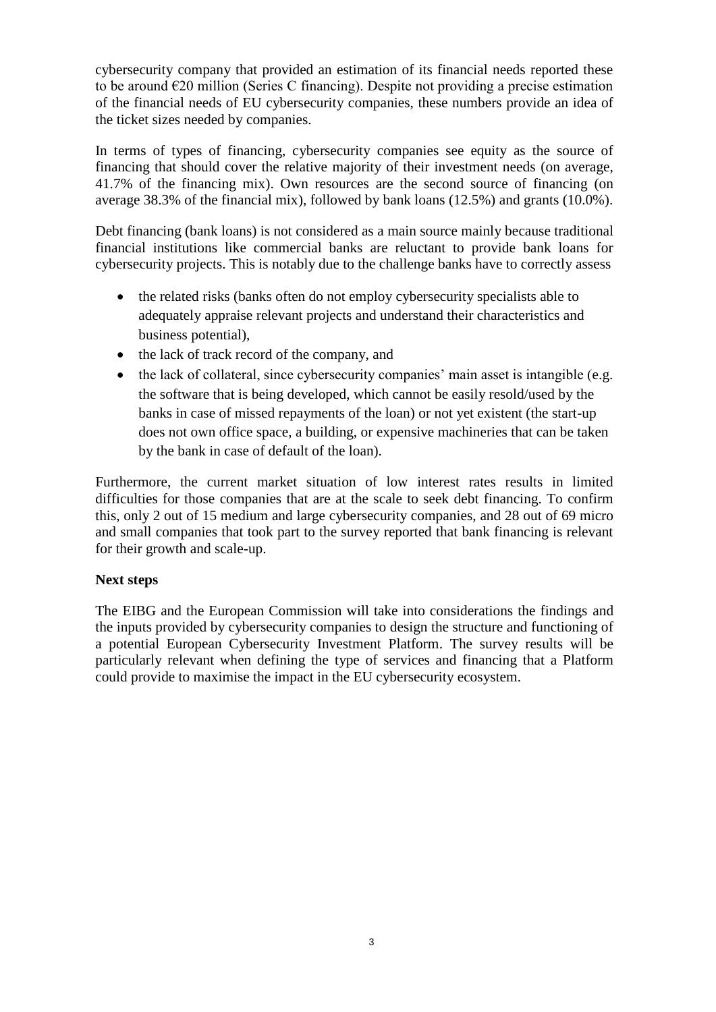cybersecurity company that provided an estimation of its financial needs reported these to be around  $\epsilon$ 20 million (Series C financing). Despite not providing a precise estimation of the financial needs of EU cybersecurity companies, these numbers provide an idea of the ticket sizes needed by companies.

In terms of types of financing, cybersecurity companies see equity as the source of financing that should cover the relative majority of their investment needs (on average, 41.7% of the financing mix). Own resources are the second source of financing (on average 38.3% of the financial mix), followed by bank loans (12.5%) and grants (10.0%).

Debt financing (bank loans) is not considered as a main source mainly because traditional financial institutions like commercial banks are reluctant to provide bank loans for cybersecurity projects. This is notably due to the challenge banks have to correctly assess

- the related risks (banks often do not employ cybersecurity specialists able to adequately appraise relevant projects and understand their characteristics and business potential),
- the lack of track record of the company, and
- the lack of collateral, since cybersecurity companies' main asset is intangible (e.g. the software that is being developed, which cannot be easily resold/used by the banks in case of missed repayments of the loan) or not yet existent (the start-up does not own office space, a building, or expensive machineries that can be taken by the bank in case of default of the loan).

Furthermore, the current market situation of low interest rates results in limited difficulties for those companies that are at the scale to seek debt financing. To confirm this, only 2 out of 15 medium and large cybersecurity companies, and 28 out of 69 micro and small companies that took part to the survey reported that bank financing is relevant for their growth and scale-up.

## **Next steps**

The EIBG and the European Commission will take into considerations the findings and the inputs provided by cybersecurity companies to design the structure and functioning of a potential European Cybersecurity Investment Platform. The survey results will be particularly relevant when defining the type of services and financing that a Platform could provide to maximise the impact in the EU cybersecurity ecosystem.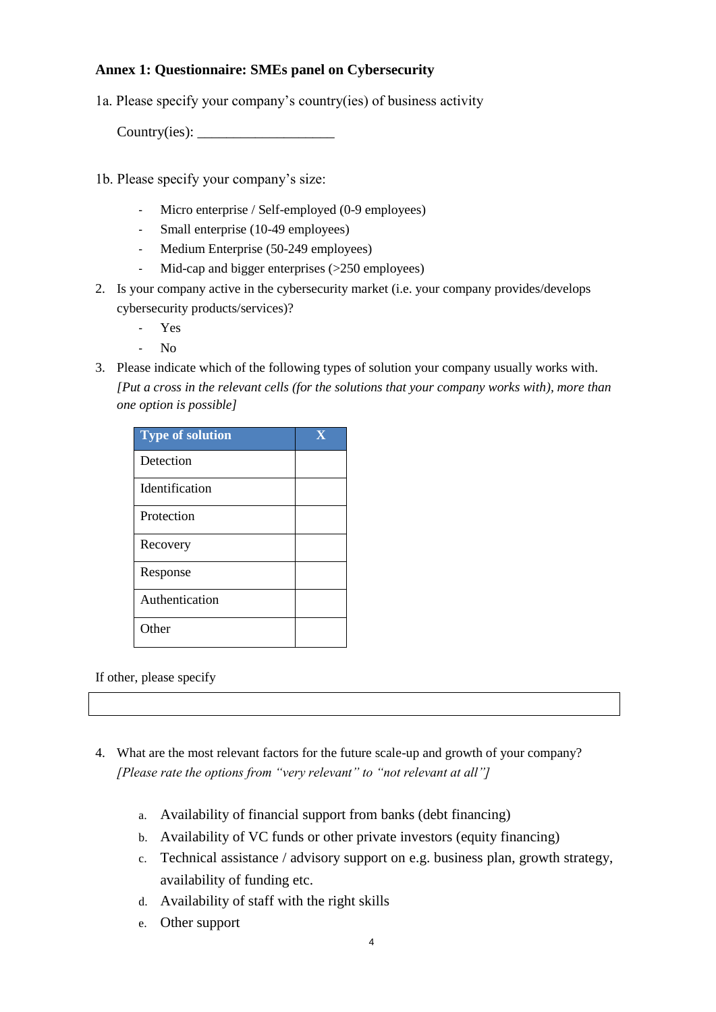# **Annex 1: Questionnaire: SMEs panel on Cybersecurity**

1a. Please specify your company's country(ies) of business activity

Country(ies):

- 1b. Please specify your company's size:
	- Micro enterprise / Self-employed (0-9 employees)
	- Small enterprise (10-49 employees)
	- Medium Enterprise (50-249 employees)
	- Mid-cap and bigger enterprises (>250 employees)
- 2. Is your company active in the cybersecurity market (i.e. your company provides/develops cybersecurity products/services)?
	- Yes
	- No
- 3. Please indicate which of the following types of solution your company usually works with. *[Put a cross in the relevant cells (for the solutions that your company works with), more than one option is possible]*

| <b>Type of solution</b> | $\mathbf X$ |
|-------------------------|-------------|
| Detection               |             |
| Identification          |             |
| Protection              |             |
| Recovery                |             |
| Response                |             |
| Authentication          |             |
| Other                   |             |

If other, please specify

- 4. What are the most relevant factors for the future scale-up and growth of your company? *[Please rate the options from "very relevant" to "not relevant at all"]*
	- a. Availability of financial support from banks (debt financing)
	- b. Availability of VC funds or other private investors (equity financing)
	- c. Technical assistance / advisory support on e.g. business plan, growth strategy, availability of funding etc.
	- d. Availability of staff with the right skills
	- e. Other support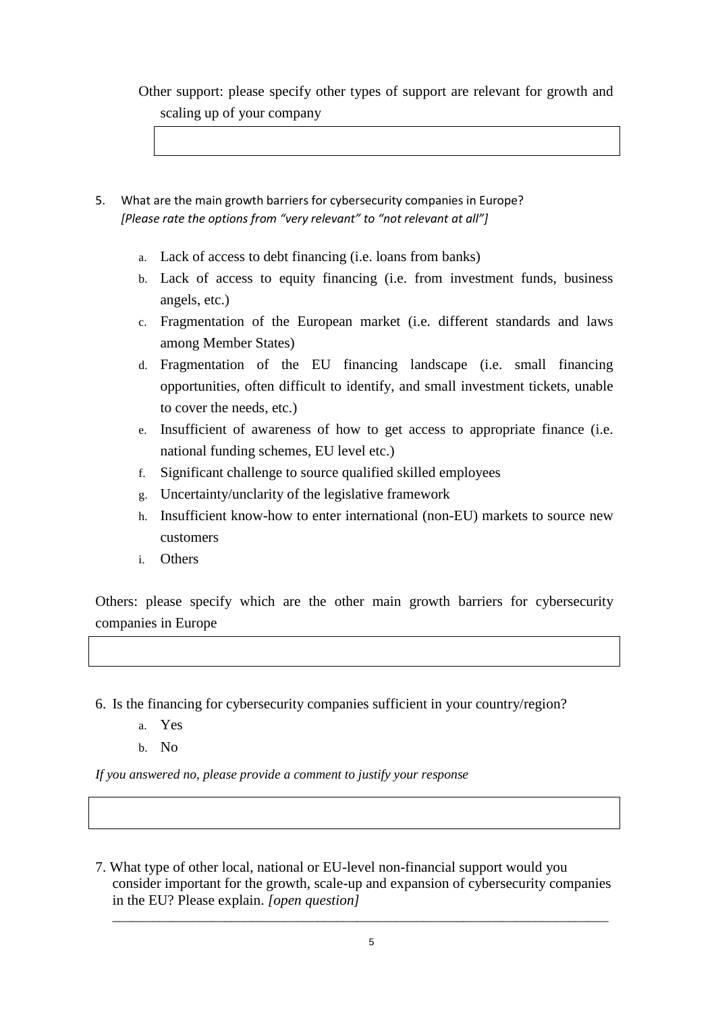Other support: please specify other types of support are relevant for growth and scaling up of your company

- 5. What are the main growth barriers for cybersecurity companies in Europe? *[Please rate the options from "very relevant" to "not relevant at all"]*
	- a. Lack of access to debt financing (i.e. loans from banks)
	- b. Lack of access to equity financing (i.e. from investment funds, business angels, etc.)
	- c. Fragmentation of the European market (i.e. different standards and laws among Member States)
	- d. Fragmentation of the EU financing landscape (i.e. small financing opportunities, often difficult to identify, and small investment tickets, unable to cover the needs, etc.)
	- e. Insufficient of awareness of how to get access to appropriate finance (i.e. national funding schemes, EU level etc.)
	- f. Significant challenge to source qualified skilled employees
	- g. Uncertainty/unclarity of the legislative framework
	- h. Insufficient know-how to enter international (non-EU) markets to source new customers
	- i. Others

Others: please specify which are the other main growth barriers for cybersecurity companies in Europe

6. Is the financing for cybersecurity companies sufficient in your country/region?

- a. Yes
- b. No

*If you answered no, please provide a comment to justify your response* 

7. What type of other local, national or EU-level non-financial support would you consider important for the growth, scale-up and expansion of cybersecurity companies in the EU? Please explain. *[open question]*

*\_\_\_\_\_\_\_\_\_\_\_\_\_\_\_\_\_\_\_\_\_\_\_\_\_\_\_\_\_\_\_\_\_\_\_\_\_\_\_\_\_\_\_\_\_\_\_\_\_\_\_\_\_\_\_\_\_\_\_\_\_\_\_\_\_\_\_\_\_\_\_\_\_\_\_*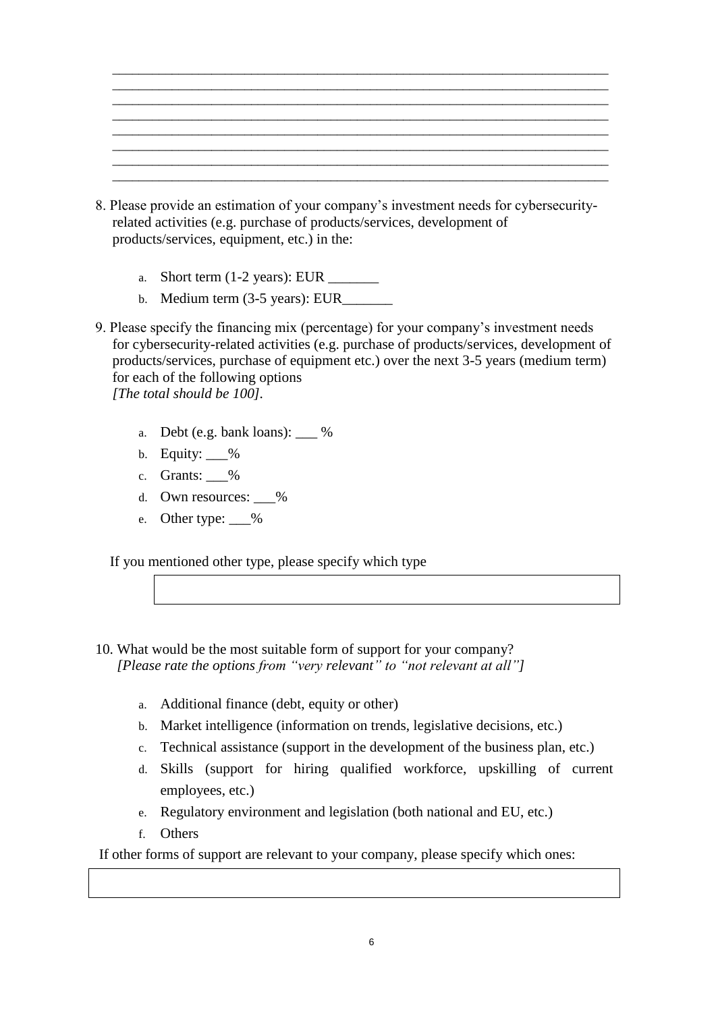| ________<br>________________________ | _______ |
|--------------------------------------|---------|
|                                      |         |
|                                      |         |
|                                      |         |
|                                      |         |
| _________<br>______                  |         |
|                                      |         |

- 8. Please provide an estimation of your company's investment needs for cybersecurityrelated activities (e.g. purchase of products/services, development of products/services, equipment, etc.) in the:
	- a. Short term  $(1-2 \text{ years})$ : EUR  $\qquad \qquad$
	- b. Medium term  $(3-5 \text{ years})$ : EUR
- 9. Please specify the financing mix (percentage) for your company's investment needs for cybersecurity-related activities (e.g. purchase of products/services, development of products/services, purchase of equipment etc.) over the next 3-5 years (medium term) for each of the following options *[The total should be 100].*
	- a. Debt (e.g. bank loans): \_\_\_ %
	- b. Equity:  $\%$
	- c. Grants: \_\_\_%
	- d. Own resources: %
	- e. Other type: %

If you mentioned other type, please specify which type

- 10. What would be the most suitable form of support for your company? *[Please rate the options from "very relevant" to "not relevant at all"]*
	- a. Additional finance (debt, equity or other)
	- b. Market intelligence (information on trends, legislative decisions, etc.)
	- c. Technical assistance (support in the development of the business plan, etc.)
	- d. Skills (support for hiring qualified workforce, upskilling of current employees, etc.)
	- e. Regulatory environment and legislation (both national and EU, etc.)
	- f. Others

If other forms of support are relevant to your company, please specify which ones: